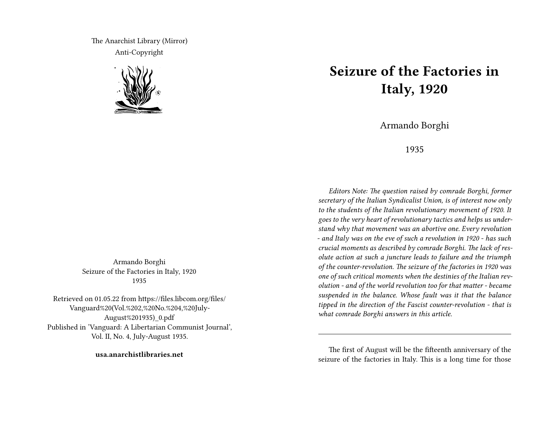The Anarchist Library (Mirror) Anti-Copyright



Armando Borghi Seizure of the Factories in Italy, 1920 1935

Retrieved on 01.05.22 from https://files.libcom.org/files/ Vanguard%20(Vol.%202,%20No.%204,%20July-August%201935)\_0.pdf Published in 'Vanguard: A Libertarian Communist Journal', Vol. II, No. 4, July-August 1935.

**usa.anarchistlibraries.net**

## **Seizure of the Factories in Italy, 1920**

Armando Borghi

1935

*Editors Note: The question raised by comrade Borghi, former secretary of the Italian Syndicalist Union, is of interest now only to the students of the Italian revolutionary movement of 1920. It goes to the very heart of revolutionary tactics and helps us understand why that movement was an abortive one. Every revolution - and Italy was on the eve of such a revolution in 1920 - has such crucial moments as described by comrade Borghi. The lack of resolute action at such a juncture leads to failure and the triumph of the counter-revolution. The seizure of the factories in 1920 was one of such critical moments when the destinies of the Italian revolution - and of the world revolution too for that matter - became suspended in the balance. Whose fault was it that the balance tipped in the direction of the Fascist counter-revolution - that is what comrade Borghi answers in this article.*

The first of August will be the fifteenth anniversary of the seizure of the factories in Italy. This is a long time for those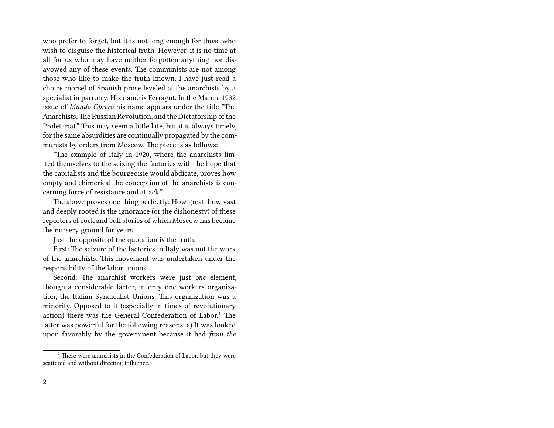who prefer to forget, but it is not long enough for those who wish to disguise the historical truth. However, it is no time at all for us who may have neither forgotten anything nor disavowed any of these events. The communists are not among those who like to make the truth known. I have just read a choice morsel of Spanish prose leveled at the anarchists by a specialist in parrotry. His name is Ferragut. In the March, 1932 issue of *Mundo Obrero* his name appears under the title "The Anarchists,The Russian Revolution, and the Dictatorship of the Proletariat." This may seem a little late, but it is always timely, for the same absurdities are continually propagated by the communists by orders from Moscow. The piece is as follows:

"The example of Italy in 1920, where the anarchists limited themselves to the seizing the factories with the hope that the capitalists and the bourgeoisie would abdicate, proves how empty and chimerical the conception of the anarchists is concerning force of resistance and attack."

The above proves one thing perfectly: How great, how vast and deeply rooted is the ignorance (or the dishonesty) of these reporters of cock and bull stories of which Moscow has become the nursery ground for years.

Just the opposite of the quotation is the truth.

First: The seizure of the factories in Italy was not the work of the anarchists. This movement was undertaken under the responsibility of the labor unions.

Second: The anarchist workers were just *one* element, though a considerable factor, in only one workers organization, the Italian Syndicalist Unions. This organization was a minority. Opposed to it (especially in times of revolutionary action) there was the General Confederation of Labor.<sup>1</sup> The latter was powerful for the following reasons: a) It was looked upon favorably by the government because it had *from the*

<sup>&</sup>lt;sup>1</sup> There were anarchists in the Confederation of Labor, but they were scattered and without directing influence.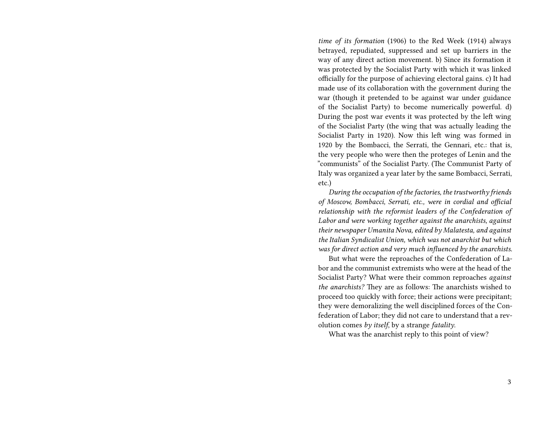*time of its formation* (1906) to the Red Week (1914) always betrayed, repudiated, suppressed and set up barriers in the way of any direct action movement. b) Since its formation it was protected by the Socialist Party with which it was linked officially for the purpose of achieving electoral gains. c) It had made use of its collaboration with the government during the war (though it pretended to be against war under guidance of the Socialist Party) to become numerically powerful. d) During the post war events it was protected by the left wing of the Socialist Party (the wing that was actually leading the Socialist Party in 1920). Now this left wing was formed in 1920 by the Bombacci, the Serrati, the Gennari, etc.: that is, the very people who were then the proteges of Lenin and the "communists" of the Socialist Party. (The Communist Party of Italy was organized a year later by the same Bombacci, Serrati, etc.)

*During the occupation of the factories, the trustworthy friends of Moscow, Bombacci, Serrati, etc., were in cordial and official relationship with the reformist leaders of the Confederation of Labor and were working together against the anarchists, against their newspaper Umanita Nova, edited by Malatesta, and against the Italian Syndicalist Union, which was not anarchist but which was for direct action and very much influenced by the anarchists.*

But what were the reproaches of the Confederation of Labor and the communist extremists who were at the head of the Socialist Party? What were their common reproaches *against the anarchists?* They are as follows: The anarchists wished to proceed too quickly with force; their actions were precipitant; they were demoralizing the well disciplined forces of the Confederation of Labor; they did not care to understand that a revolution comes *by itself*, by a strange *fatality*.

What was the anarchist reply to this point of view?